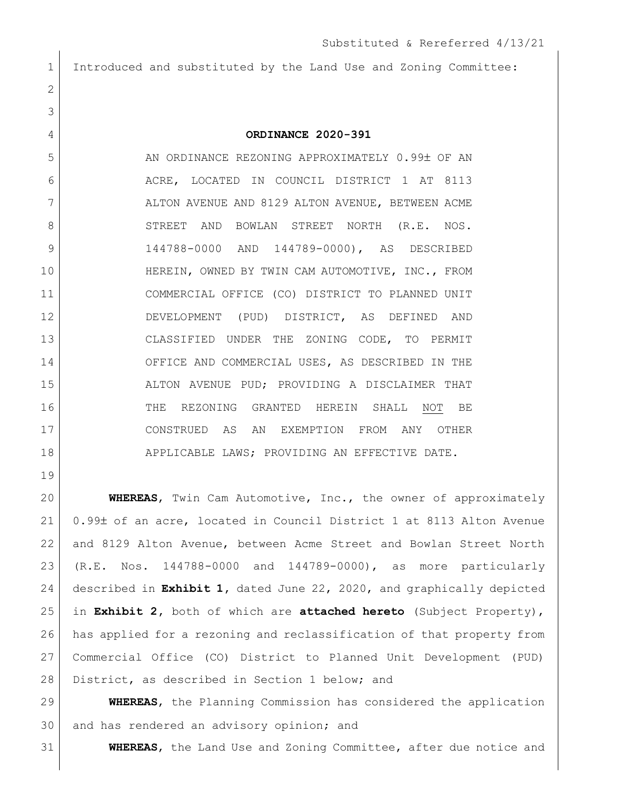Introduced and substituted by the Land Use and Zoning Committee:

**ORDINANCE 2020-391**

5 AN ORDINANCE REZONING APPROXIMATELY 0.99± OF AN ACRE, LOCATED IN COUNCIL DISTRICT 1 AT 8113 7 ALTON AVENUE AND 8129 ALTON AVENUE, BETWEEN ACME 8 STREET AND BOWLAN STREET NORTH (R.E. NOS. 9 144788-0000 AND 144789-0000), AS DESCRIBED 10 HEREIN, OWNED BY TWIN CAM AUTOMOTIVE, INC., FROM COMMERCIAL OFFICE (CO) DISTRICT TO PLANNED UNIT DEVELOPMENT (PUD) DISTRICT, AS DEFINED AND CLASSIFIED UNDER THE ZONING CODE, TO PERMIT 14 OFFICE AND COMMERCIAL USES, AS DESCRIBED IN THE ALTON AVENUE PUD; PROVIDING A DISCLAIMER THAT THE REZONING GRANTED HEREIN SHALL NOT BE CONSTRUED AS AN EXEMPTION FROM ANY OTHER 18 APPLICABLE LAWS; PROVIDING AN EFFECTIVE DATE.

 **WHEREAS**, Twin Cam Automotive, Inc., the owner of approximately 21 0.99± of an acre, located in Council District 1 at 8113 Alton Avenue and 8129 Alton Avenue, between Acme Street and Bowlan Street North (R.E. Nos. 144788-0000 and 144789-0000), as more particularly described in **Exhibit 1,** dated June 22, 2020, and graphically depicted in **Exhibit 2,** both of which are **attached hereto** (Subject Property), has applied for a rezoning and reclassification of that property from Commercial Office (CO) District to Planned Unit Development (PUD) 28 District, as described in Section 1 below; and

 **WHEREAS**, the Planning Commission has considered the application 30 and has rendered an advisory opinion; and

**WHEREAS**, the Land Use and Zoning Committee, after due notice and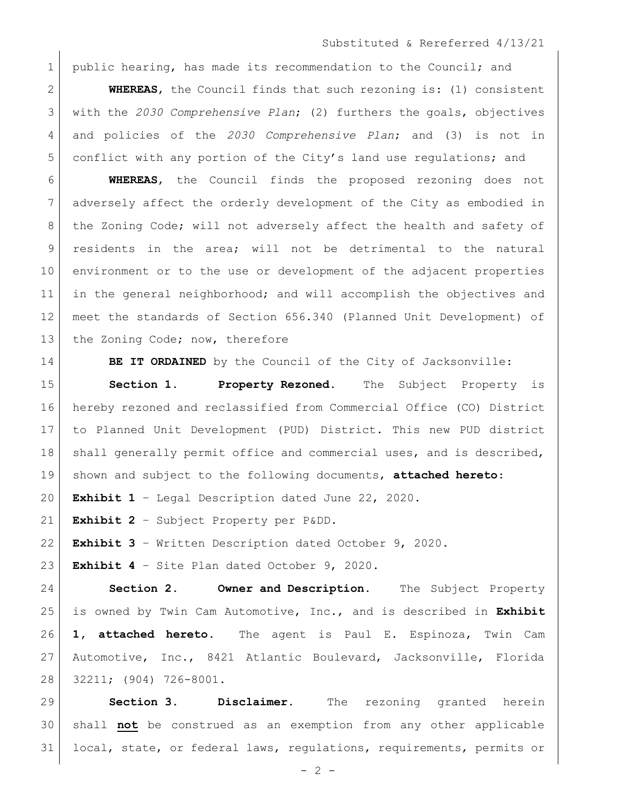## Substituted & Rereferred 4/13/21

1 public hearing, has made its recommendation to the Council; and

 **WHEREAS**, the Council finds that such rezoning is: (1) consistent with the *2030 Comprehensive Plan*; (2) furthers the goals, objectives and policies of the *2030 Comprehensive Plan*; and (3) is not in conflict with any portion of the City's land use regulations; and

 **WHEREAS**, the Council finds the proposed rezoning does not adversely affect the orderly development of the City as embodied in 8 | the Zoning Code; will not adversely affect the health and safety of residents in the area; will not be detrimental to the natural environment or to the use or development of the adjacent properties in the general neighborhood; and will accomplish the objectives and meet the standards of Section 656.340 (Planned Unit Development) of 13 the Zoning Code; now, therefore

**BE IT ORDAINED** by the Council of the City of Jacksonville:

 **Section 1. Property Rezoned.** The Subject Property is hereby rezoned and reclassified from Commercial Office (CO) District to Planned Unit Development (PUD) District. This new PUD district 18 | shall generally permit office and commercial uses, and is described, shown and subject to the following documents, **attached hereto**:

**Exhibit 1** – Legal Description dated June 22, 2020.

**Exhibit 2** – Subject Property per P&DD.

**Exhibit 3** – Written Description dated October 9, 2020.

**Exhibit 4** – Site Plan dated October 9, 2020.

 **Section 2. Owner and Description.** The Subject Property is owned by Twin Cam Automotive, Inc., and is described in **Exhibit 1, attached hereto.** The agent is Paul E. Espinoza, Twin Cam Automotive, Inc., 8421 Atlantic Boulevard, Jacksonville, Florida 32211; (904) 726-8001.

 **Section 3. Disclaimer.** The rezoning granted herein shall **not** be construed as an exemption from any other applicable local, state, or federal laws, regulations, requirements, permits or

 $- 2 -$